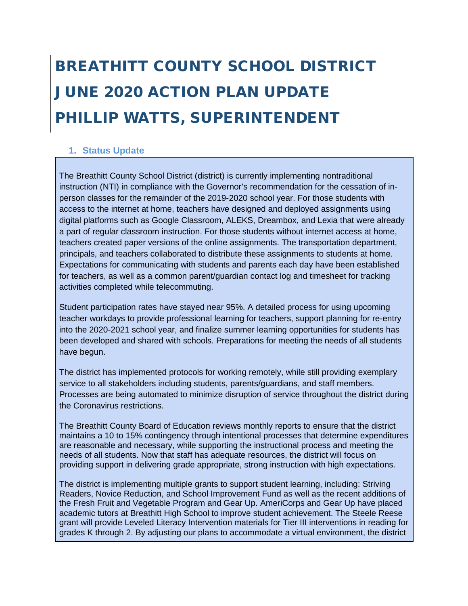# BREATHITT COUNTY SCHOOL DISTRICT JUNE 2020 ACTION PLAN UPDATE PHILLIP WATTS, SUPERINTENDENT

## **1. Status Update**

The Breathitt County School District (district) is currently implementing nontraditional instruction (NTI) in compliance with the Governor's recommendation for the cessation of inperson classes for the remainder of the 2019-2020 school year. For those students with access to the internet at home, teachers have designed and deployed assignments using digital platforms such as Google Classroom, ALEKS, Dreambox, and Lexia that were already a part of regular classroom instruction. For those students without internet access at home, teachers created paper versions of the online assignments. The transportation department, principals, and teachers collaborated to distribute these assignments to students at home. Expectations for communicating with students and parents each day have been established for teachers, as well as a common parent/guardian contact log and timesheet for tracking activities completed while telecommuting.

Student participation rates have stayed near 95%. A detailed process for using upcoming teacher workdays to provide professional learning for teachers, support planning for re-entry into the 2020-2021 school year, and finalize summer learning opportunities for students has been developed and shared with schools. Preparations for meeting the needs of all students have begun.

The district has implemented protocols for working remotely, while still providing exemplary service to all stakeholders including students, parents/guardians, and staff members. Processes are being automated to minimize disruption of service throughout the district during the Coronavirus restrictions.

The Breathitt County Board of Education reviews monthly reports to ensure that the district maintains a 10 to 15% contingency through intentional processes that determine expenditures are reasonable and necessary, while supporting the instructional process and meeting the needs of all students. Now that staff has adequate resources, the district will focus on providing support in delivering grade appropriate, strong instruction with high expectations.

The district is implementing multiple grants to support student learning, including: Striving Readers, Novice Reduction, and School Improvement Fund as well as the recent additions of the Fresh Fruit and Vegetable Program and Gear Up. AmeriCorps and Gear Up have placed academic tutors at Breathitt High School to improve student achievement. The Steele Reese grant will provide Leveled Literacy Intervention materials for Tier III interventions in reading for grades K through 2. By adjusting our plans to accommodate a virtual environment, the district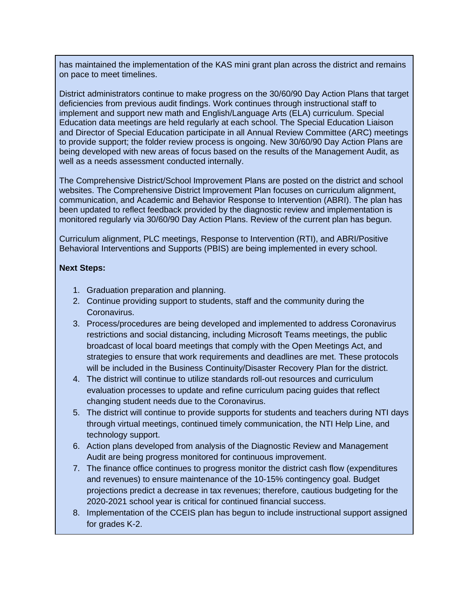has maintained the implementation of the KAS mini grant plan across the district and remains on pace to meet timelines.

District administrators continue to make progress on the 30/60/90 Day Action Plans that target deficiencies from previous audit findings. Work continues through instructional staff to implement and support new math and English/Language Arts (ELA) curriculum. Special Education data meetings are held regularly at each school. The Special Education Liaison and Director of Special Education participate in all Annual Review Committee (ARC) meetings to provide support; the folder review process is ongoing. New 30/60/90 Day Action Plans are being developed with new areas of focus based on the results of the Management Audit, as well as a needs assessment conducted internally.

The Comprehensive District/School Improvement Plans are posted on the district and school websites. The Comprehensive District Improvement Plan focuses on curriculum alignment, communication, and Academic and Behavior Response to Intervention (ABRI). The plan has been updated to reflect feedback provided by the diagnostic review and implementation is monitored regularly via 30/60/90 Day Action Plans. Review of the current plan has begun.

Curriculum alignment, PLC meetings, Response to Intervention (RTI), and ABRI/Positive Behavioral Interventions and Supports (PBIS) are being implemented in every school.

## **Next Steps:**

- 1. Graduation preparation and planning.
- 2. Continue providing support to students, staff and the community during the Coronavirus.
- 3. Process/procedures are being developed and implemented to address Coronavirus restrictions and social distancing, including Microsoft Teams meetings, the public broadcast of local board meetings that comply with the Open Meetings Act, and strategies to ensure that work requirements and deadlines are met. These protocols will be included in the Business Continuity/Disaster Recovery Plan for the district.
- 4. The district will continue to utilize standards roll-out resources and curriculum evaluation processes to update and refine curriculum pacing guides that reflect changing student needs due to the Coronavirus.
- 5. The district will continue to provide supports for students and teachers during NTI days through virtual meetings, continued timely communication, the NTI Help Line, and technology support.
- 6. Action plans developed from analysis of the Diagnostic Review and Management Audit are being progress monitored for continuous improvement.
- 7. The finance office continues to progress monitor the district cash flow (expenditures and revenues) to ensure maintenance of the 10-15% contingency goal. Budget projections predict a decrease in tax revenues; therefore, cautious budgeting for the 2020-2021 school year is critical for continued financial success.
- 8. Implementation of the CCEIS plan has begun to include instructional support assigned for grades K-2.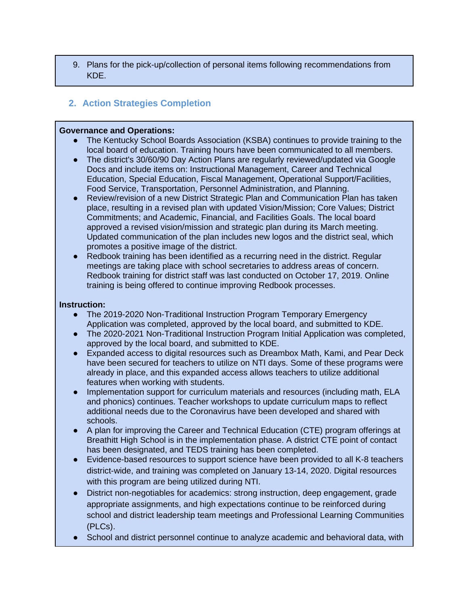9. Plans for the pick-up/collection of personal items following recommendations from KDE.

# **2. Action Strategies Completion**

#### **Governance and Operations:**

- The Kentucky School Boards Association (KSBA) continues to provide training to the local board of education. Training hours have been communicated to all members.
- The district's 30/60/90 Day Action Plans are regularly reviewed/updated via Google Docs and include items on: Instructional Management, Career and Technical Education, Special Education, Fiscal Management, Operational Support/Facilities, Food Service, Transportation, Personnel Administration, and Planning.
- Review/revision of a new District Strategic Plan and Communication Plan has taken place, resulting in a revised plan with updated Vision/Mission; Core Values; District Commitments; and Academic, Financial, and Facilities Goals. The local board approved a revised vision/mission and strategic plan during its March meeting. Updated communication of the plan includes new logos and the district seal, which promotes a positive image of the district.
- Redbook training has been identified as a recurring need in the district. Regular meetings are taking place with school secretaries to address areas of concern. Redbook training for district staff was last conducted on October 17, 2019. Online training is being offered to continue improving Redbook processes.

## **Instruction:**

- The 2019-2020 Non-Traditional Instruction Program Temporary Emergency Application was completed, approved by the local board, and submitted to KDE.
- The 2020-2021 Non-Traditional Instruction Program Initial Application was completed, approved by the local board, and submitted to KDE.
- Expanded access to digital resources such as Dreambox Math, Kami, and Pear Deck have been secured for teachers to utilize on NTI days. Some of these programs were already in place, and this expanded access allows teachers to utilize additional features when working with students.
- Implementation support for curriculum materials and resources (including math, ELA and phonics) continues. Teacher workshops to update curriculum maps to reflect additional needs due to the Coronavirus have been developed and shared with schools.
- A plan for improving the Career and Technical Education (CTE) program offerings at Breathitt High School is in the implementation phase. A district CTE point of contact has been designated, and TEDS training has been completed.
- Evidence-based resources to support science have been provided to all K-8 teachers district-wide, and training was completed on January 13-14, 2020. Digital resources with this program are being utilized during NTI.
- District non-negotiables for academics: strong instruction, deep engagement, grade appropriate assignments, and high expectations continue to be reinforced during school and district leadership team meetings and Professional Learning Communities (PLCs).
- School and district personnel continue to analyze academic and behavioral data, with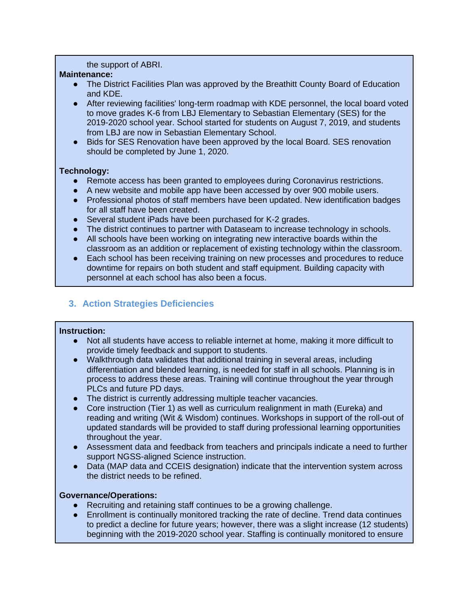#### the support of ABRI.

## **Maintenance:**

- The District Facilities Plan was approved by the Breathitt County Board of Education and KDE.
- After reviewing facilities' long-term roadmap with KDE personnel, the local board voted to move grades K-6 from LBJ Elementary to Sebastian Elementary (SES) for the 2019-2020 school year. School started for students on August 7, 2019, and students from LBJ are now in Sebastian Elementary School.
- Bids for SES Renovation have been approved by the local Board. SES renovation should be completed by June 1, 2020.

## **Technology:**

- Remote access has been granted to employees during Coronavirus restrictions.
- A new website and mobile app have been accessed by over 900 mobile users.
- Professional photos of staff members have been updated. New identification badges for all staff have been created.
- Several student iPads have been purchased for K-2 grades.
- The district continues to partner with Dataseam to increase technology in schools.
- All schools have been working on integrating new interactive boards within the classroom as an addition or replacement of existing technology within the classroom.
- Each school has been receiving training on new processes and procedures to reduce downtime for repairs on both student and staff equipment. Building capacity with personnel at each school has also been a focus.

# **3. Action Strategies Deficiencies**

## **Instruction:**

- Not all students have access to reliable internet at home, making it more difficult to provide timely feedback and support to students.
- Walkthrough data validates that additional training in several areas, including differentiation and blended learning, is needed for staff in all schools. Planning is in process to address these areas. Training will continue throughout the year through PLCs and future PD days.
- The district is currently addressing multiple teacher vacancies.<br>● Core instruction (Tier 1) as well as curriculum realignment in m
- Core instruction (Tier 1) as well as curriculum realignment in math (Eureka) and reading and writing (Wit & Wisdom) continues. Workshops in support of the roll-out of updated standards will be provided to staff during professional learning opportunities throughout the year.
- Assessment data and feedback from teachers and principals indicate a need to further support NGSS-aligned Science instruction.
- Data (MAP data and CCEIS designation) indicate that the intervention system across the district needs to be refined.

## **Governance/Operations:**

- Recruiting and retaining staff continues to be a growing challenge.
- Enrollment is continually monitored tracking the rate of decline. Trend data continues to predict a decline for future years; however, there was a slight increase (12 students) beginning with the 2019-2020 school year. Staffing is continually monitored to ensure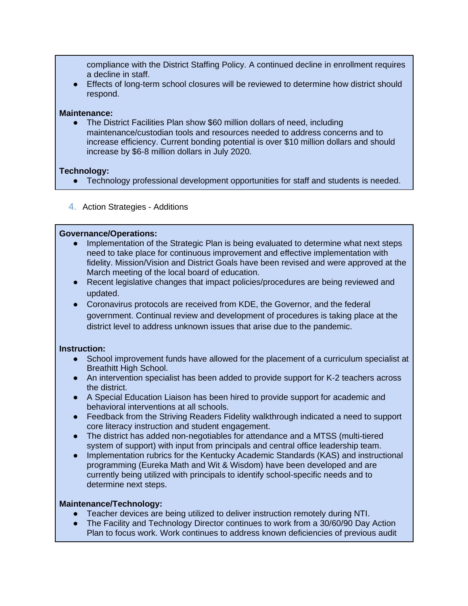compliance with the District Staffing Policy. A continued decline in enrollment requires a decline in staff.

● Effects of long-term school closures will be reviewed to determine how district should respond.

#### **Maintenance:**

The District Facilities Plan show \$60 million dollars of need, including maintenance/custodian tools and resources needed to address concerns and to increase efficiency. Current bonding potential is over \$10 million dollars and should increase by \$6-8 million dollars in July 2020.

## **Technology:**

- Technology professional development opportunities for staff and students is needed.
- 4. Action Strategies Additions

## **Governance/Operations:**

- Implementation of the Strategic Plan is being evaluated to determine what next steps need to take place for continuous improvement and effective implementation with fidelity. Mission/Vision and District Goals have been revised and were approved at the March meeting of the local board of education.
- Recent legislative changes that impact policies/procedures are being reviewed and updated.
- Coronavirus protocols are received from KDE, the Governor, and the federal government. Continual review and development of procedures is taking place at the district level to address unknown issues that arise due to the pandemic.

## **Instruction:**

- School improvement funds have allowed for the placement of a curriculum specialist at Breathitt High School.
- An intervention specialist has been added to provide support for K-2 teachers across the district.
- A Special Education Liaison has been hired to provide support for academic and behavioral interventions at all schools.
- Feedback from the Striving Readers Fidelity walkthrough indicated a need to support core literacy instruction and student engagement.
- The district has added non-negotiables for attendance and a MTSS (multi-tiered system of support) with input from principals and central office leadership team.
- Implementation rubrics for the Kentucky Academic Standards (KAS) and instructional programming (Eureka Math and Wit & Wisdom) have been developed and are currently being utilized with principals to identify school-specific needs and to determine next steps.

## **Maintenance/Technology:**

- Teacher devices are being utilized to deliver instruction remotely during NTI.
- The Facility and Technology Director continues to work from a 30/60/90 Day Action Plan to focus work. Work continues to address known deficiencies of previous audit